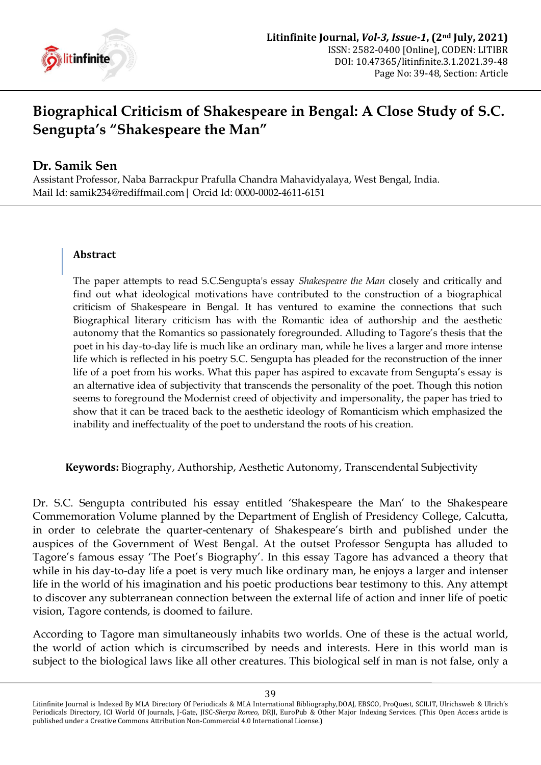

## **Biographical Criticism of Shakespeare in Bengal: A Close Study of S.C. Sengupta's "Shakespeare the Man"**

## **Dr. Samik Sen**

Assistant Professor, Naba Barrackpur Prafulla Chandra Mahavidyalaya, West Bengal, India. Mail Id: samik234@rediffmail.com| Orcid Id[: 0000-0002-4611-6151](https://orcid.org/0000-0002-4611-6151)

## **Abstract**

The paper attempts to read S.C.Sengupta's essay *Shakespeare the Man* closely and critically and find out what ideological motivations have contributed to the construction of a biographical criticism of Shakespeare in Bengal. It has ventured to examine the connections that such Biographical literary criticism has with the Romantic idea of authorship and the aesthetic autonomy that the Romantics so passionately foregrounded. Alluding to Tagore"s thesis that the poet in his day-to-day life is much like an ordinary man, while he lives a larger and more intense life which is reflected in his poetry S.C. Sengupta has pleaded for the reconstruction of the inner life of a poet from his works. What this paper has aspired to excavate from Sengupta's essay is an alternative idea of subjectivity that transcends the personality of the poet. Though this notion seems to foreground the Modernist creed of objectivity and impersonality, the paper has tried to show that it can be traced back to the aesthetic ideology of Romanticism which emphasized the inability and ineffectuality of the poet to understand the roots of his creation.

**Keywords:** Biography, Authorship, Aesthetic Autonomy, Transcendental Subjectivity

Dr. S.C. Sengupta contributed his essay entitled "Shakespeare the Man" to the Shakespeare Commemoration Volume planned by the Department of English of Presidency College, Calcutta, in order to celebrate the quarter-centenary of Shakespeare's birth and published under the auspices of the Government of West Bengal. At the outset Professor Sengupta has alluded to Tagore's famous essay 'The Poet's Biography'. In this essay Tagore has advanced a theory that while in his day-to-day life a poet is very much like ordinary man, he enjoys a larger and intenser life in the world of his imagination and his poetic productions bear testimony to this. Any attempt to discover any subterranean connection between the external life of action and inner life of poetic vision, Tagore contends, is doomed to failure.

According to Tagore man simultaneously inhabits two worlds. One of these is the actual world, the world of action which is circumscribed by needs and interests. Here in this world man is subject to the biological laws like all other creatures. This biological self in man is not false, only a

Litinfinite Journal is Indexed By MLA Directory Of Periodicals & MLA International Bibliography,DOAJ, EBSCO, ProQuest, SCILIT, Ulrichsweb & Ulrich's Periodicals Directory, ICI World Of Journals, J-Gate, JISC-*Sherpa Romeo*, DRJI, EuroPub & Other Major Indexing Services. (This Open Access article is published under a Creative Commons Attribution Non-Commercial 4.0 International License.)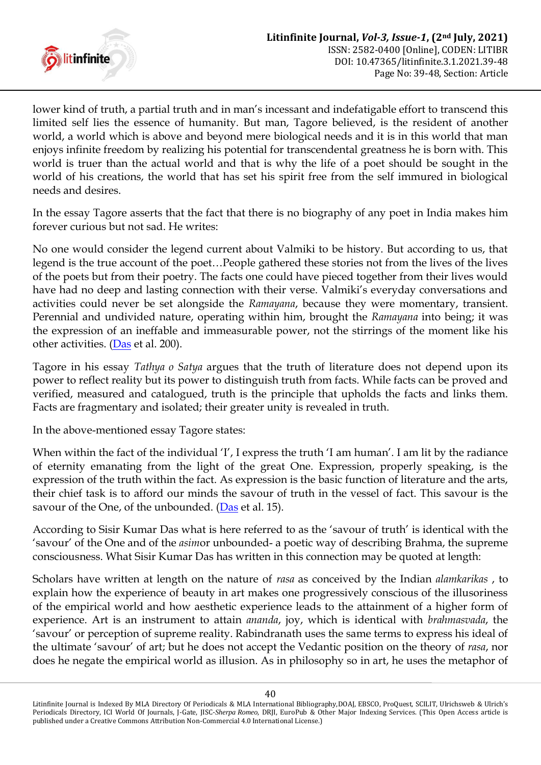

lower kind of truth, a partial truth and in man's incessant and indefatigable effort to transcend this limited self lies the essence of humanity. But man, Tagore believed, is the resident of another world, a world which is above and beyond mere biological needs and it is in this world that man enjoys infinite freedom by realizing his potential for transcendental greatness he is born with. This world is truer than the actual world and that is why the life of a poet should be sought in the world of his creations, the world that has set his spirit free from the self immured in biological needs and desires.

In the essay Tagore asserts that the fact that there is no biography of any poet in India makes him forever curious but not sad. He writes:

No one would consider the legend current about Valmiki to be history. But according to us, that legend is the true account of the poet…People gathered these stories not from the lives of the lives of the poets but from their poetry. The facts one could have pieced together from their lives would have had no deep and lasting connection with their verse. Valmiki's everyday conversations and activities could never be set alongside the *Ramayana*, because they were momentary, transient. Perennial and undivided nature, operating within him, brought the *Ramayana* into being; it was the expression of an ineffable and immeasurable power, not the stirrings of the moment like his other activities. [\(Das](#page-9-0) et al. 200).

Tagore in his essay *Tathya o Satya* argues that the truth of literature does not depend upon its power to reflect reality but its power to distinguish truth from facts. While facts can be proved and verified, measured and catalogued, truth is the principle that upholds the facts and links them. Facts are fragmentary and isolated; their greater unity is revealed in truth.

In the above-mentioned essay Tagore states:

When within the fact of the individual 'I', I express the truth 'I am human'. I am lit by the radiance of eternity emanating from the light of the great One. Expression, properly speaking, is the expression of the truth within the fact. As expression is the basic function of literature and the arts, their chief task is to afford our minds the savour of truth in the vessel of fact. This savour is the savour of the One, of the unbounded. ( $\overline{\text{Das}}$  et al. 15).

According to Sisir Kumar Das what is here referred to as the 'savour of truth' is identical with the "savour" of the One and of the *asim*or unbounded- a poetic way of describing Brahma, the supreme consciousness. What Sisir Kumar Das has written in this connection may be quoted at length:

Scholars have written at length on the nature of *rasa* as conceived by the Indian *alamkarikas* , to explain how the experience of beauty in art makes one progressively conscious of the illusoriness of the empirical world and how aesthetic experience leads to the attainment of a higher form of experience. Art is an instrument to attain *ananda*, joy, which is identical with *brahmasvada*, the "savour" or perception of supreme reality. Rabindranath uses the same terms to express his ideal of the ultimate "savour" of art; but he does not accept the Vedantic position on the theory of *rasa*, nor does he negate the empirical world as illusion. As in philosophy so in art, he uses the metaphor of

Litinfinite Journal is Indexed By MLA Directory Of Periodicals & MLA International Bibliography,DOAJ, EBSCO, ProQuest, SCILIT, Ulrichsweb & Ulrich's Periodicals Directory, ICI World Of Journals, J-Gate, JISC-*Sherpa Romeo*, DRJI, EuroPub & Other Major Indexing Services. (This Open Access article is published under a Creative Commons Attribution Non-Commercial 4.0 International License.)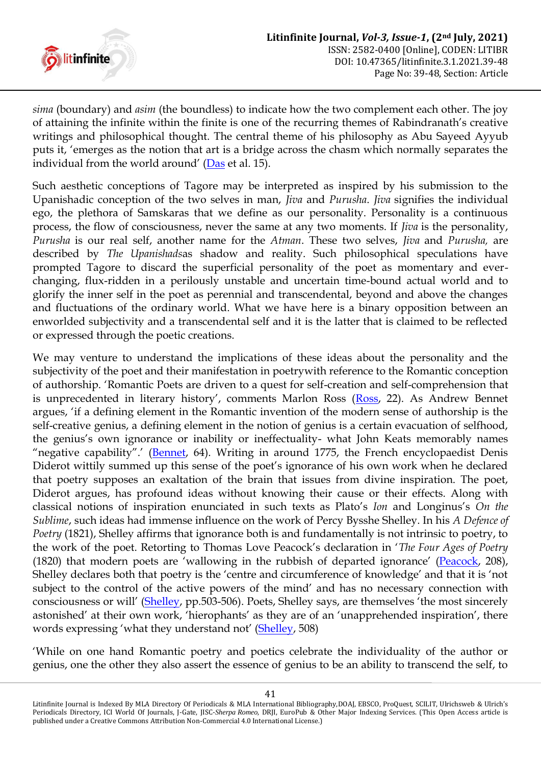

*sima* (boundary) and *asim* (the boundless) to indicate how the two complement each other. The joy of attaining the infinite within the finite is one of the recurring themes of Rabindranath"s creative writings and philosophical thought. The central theme of his philosophy as Abu Sayeed Ayyub puts it, "emerges as the notion that art is a bridge across the chasm which normally separates the individual from the world around' ([Das](#page-9-0) et al. 15).

Such aesthetic conceptions of Tagore may be interpreted as inspired by his submission to the Upanishadic conception of the two selves in man, *Jiva* and *Purusha*. *Jiva* signifies the individual ego, the plethora of Samskaras that we define as our personality. Personality is a continuous process, the flow of consciousness, never the same at any two moments. If *Jiva* is the personality, *Purusha* is our real self, another name for the *Atman*. These two selves, *Jiva* and *Purusha,* are described by *The Upanishads*as shadow and reality. Such philosophical speculations have prompted Tagore to discard the superficial personality of the poet as momentary and everchanging, flux-ridden in a perilously unstable and uncertain time-bound actual world and to glorify the inner self in the poet as perennial and transcendental, beyond and above the changes and fluctuations of the ordinary world. What we have here is a binary opposition between an enworlded subjectivity and a transcendental self and it is the latter that is claimed to be reflected or expressed through the poetic creations.

We may venture to understand the implications of these ideas about the personality and the subjectivity of the poet and their manifestation in poetrywith reference to the Romantic conception of authorship. "Romantic Poets are driven to a quest for self-creation and self-comprehension that is unprecedented in literary history', comments Marlon Ross ([Ross,](#page-9-1) 22). As Andrew Bennet argues, "if a defining element in the Romantic invention of the modern sense of authorship is the self-creative genius, a defining element in the notion of genius is a certain evacuation of selfhood, the genius's own ignorance or inability or ineffectuality- what John Keats memorably names "negative capability".' ([Bennet,](#page-8-0) 64). Writing in around 1775, the French encyclopaedist Denis Diderot wittily summed up this sense of the poet's ignorance of his own work when he declared that poetry supposes an exaltation of the brain that issues from divine inspiration. The poet, Diderot argues, has profound ideas without knowing their cause or their effects. Along with classical notions of inspiration enunciated in such texts as Plato"s *Ion* and Longinus"s *On the Sublime*, such ideas had immense influence on the work of Percy Bysshe Shelley. In his *A Defence of Poetry* (1821), Shelley affirms that ignorance both is and fundamentally is not intrinsic to poetry, to the work of the poet. Retorting to Thomas Love Peacock"s declaration in "*The Four Ages of Poetry* (1820) that modern poets are 'wallowing in the rubbish of departed ignorance' [\(Peacock,](#page-8-1) 208), Shelley declares both that poetry is the "centre and circumference of knowledge" and that it is "not subject to the control of the active powers of the mind' and has no necessary connection with consciousness or will" ([Shelley,](#page-8-2) pp.503-506). Poets, Shelley says, are themselves "the most sincerely astonished' at their own work, 'hierophants' as they are of an 'unapprehended inspiration', there words expressing 'what they understand not' ([Shelley,](#page-8-2) 508)

"While on one hand Romantic poetry and poetics celebrate the individuality of the author or genius, one the other they also assert the essence of genius to be an ability to transcend the self, to

<sup>41</sup>

Litinfinite Journal is Indexed By MLA Directory Of Periodicals & MLA International Bibliography,DOAJ, EBSCO, ProQuest, SCILIT, Ulrichsweb & Ulrich's Periodicals Directory, ICI World Of Journals, J-Gate, JISC-*Sherpa Romeo*, DRJI, EuroPub & Other Major Indexing Services. (This Open Access article is published under a Creative Commons Attribution Non-Commercial 4.0 International License.)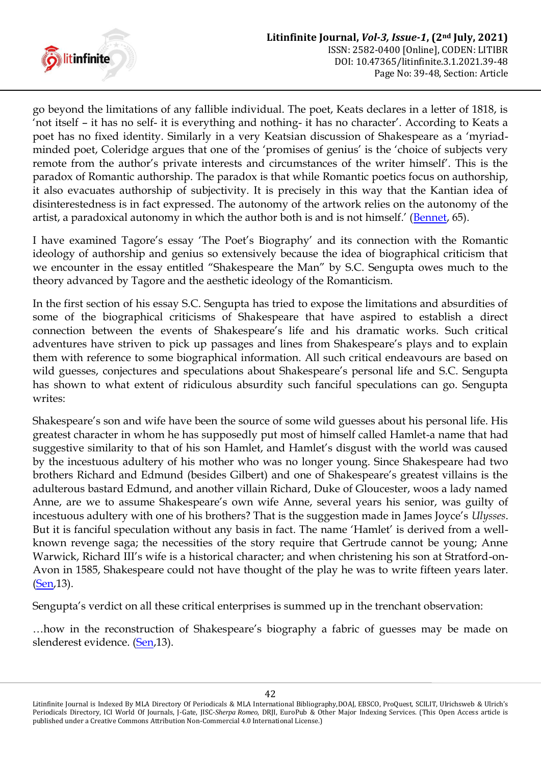

go beyond the limitations of any fallible individual. The poet, Keats declares in a letter of 1818, is 'not itself – it has no self- it is everything and nothing- it has no character'. According to Keats a poet has no fixed identity. Similarly in a very Keatsian discussion of Shakespeare as a "myriadminded poet, Coleridge argues that one of the 'promises of genius' is the 'choice of subjects very remote from the author's private interests and circumstances of the writer himself'. This is the paradox of Romantic authorship. The paradox is that while Romantic poetics focus on authorship, it also evacuates authorship of subjectivity. It is precisely in this way that the Kantian idea of disinterestedness is in fact expressed. The autonomy of the artwork relies on the autonomy of the artist, a paradoxical autonomy in which the author both is and is not himself.' ([Bennet,](#page-8-0) 65).

I have examined Tagore's essay 'The Poet's Biography' and its connection with the Romantic ideology of authorship and genius so extensively because the idea of biographical criticism that we encounter in the essay entitled "Shakespeare the Man" by S.C. Sengupta owes much to the theory advanced by Tagore and the aesthetic ideology of the Romanticism.

In the first section of his essay S.C. Sengupta has tried to expose the limitations and absurdities of some of the biographical criticisms of Shakespeare that have aspired to establish a direct connection between the events of Shakespeare"s life and his dramatic works. Such critical adventures have striven to pick up passages and lines from Shakespeare's plays and to explain them with reference to some biographical information. All such critical endeavours are based on wild guesses, conjectures and speculations about Shakespeare's personal life and S.C. Sengupta has shown to what extent of ridiculous absurdity such fanciful speculations can go. Sengupta writes:

Shakespeare's son and wife have been the source of some wild guesses about his personal life. His greatest character in whom he has supposedly put most of himself called Hamlet-a name that had suggestive similarity to that of his son Hamlet, and Hamlet's disgust with the world was caused by the incestuous adultery of his mother who was no longer young. Since Shakespeare had two brothers Richard and Edmund (besides Gilbert) and one of Shakespeare"s greatest villains is the adulterous bastard Edmund, and another villain Richard, Duke of Gloucester, woos a lady named Anne, are we to assume Shakespeare"s own wife Anne, several years his senior, was guilty of incestuous adultery with one of his brothers? That is the suggestion made in James Joyce"s *Ulysses*. But it is fanciful speculation without any basis in fact. The name 'Hamlet' is derived from a wellknown revenge saga; the necessities of the story require that Gertrude cannot be young; Anne Warwick, Richard III's wife is a historical character; and when christening his son at Stratford-on-Avon in 1585, Shakespeare could not have thought of the play he was to write fifteen years later. [\(Sen,](#page-9-2)13).

Sengupta's verdict on all these critical enterprises is summed up in the trenchant observation:

...how in the reconstruction of Shakespeare's biography a fabric of guesses may be made on slenderest evidence. [\(Sen,](#page-9-2)13).

Litinfinite Journal is Indexed By MLA Directory Of Periodicals & MLA International Bibliography,DOAJ, EBSCO, ProQuest, SCILIT, Ulrichsweb & Ulrich's Periodicals Directory, ICI World Of Journals, J-Gate, JISC-*Sherpa Romeo*, DRJI, EuroPub & Other Major Indexing Services. (This Open Access article is published under a Creative Commons Attribution Non-Commercial 4.0 International License.)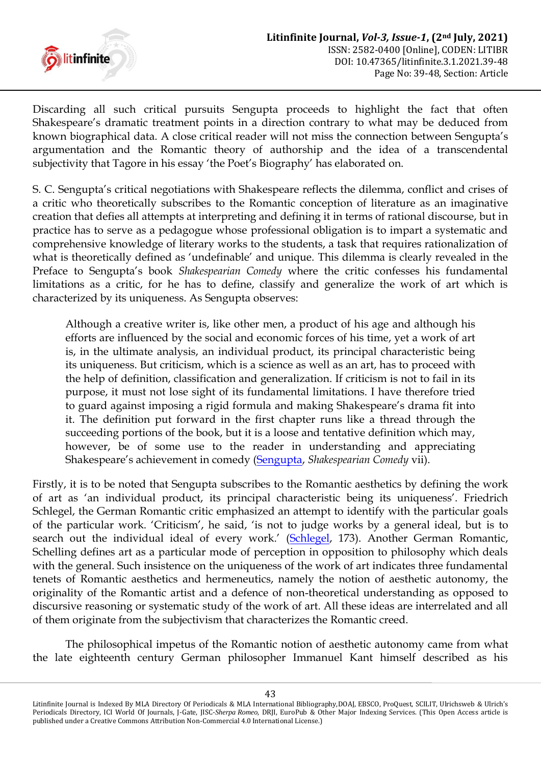

Discarding all such critical pursuits Sengupta proceeds to highlight the fact that often Shakespeare's dramatic treatment points in a direction contrary to what may be deduced from known biographical data. A close critical reader will not miss the connection between Sengupta"s argumentation and the Romantic theory of authorship and the idea of a transcendental subjectivity that Tagore in his essay 'the Poet's Biography' has elaborated on.

S. C. Sengupta"s critical negotiations with Shakespeare reflects the dilemma, conflict and crises of a critic who theoretically subscribes to the Romantic conception of literature as an imaginative creation that defies all attempts at interpreting and defining it in terms of rational discourse, but in practice has to serve as a pedagogue whose professional obligation is to impart a systematic and comprehensive knowledge of literary works to the students, a task that requires rationalization of what is theoretically defined as 'undefinable' and unique. This dilemma is clearly revealed in the Preface to Sengupta"s book *Shakespearian Comedy* where the critic confesses his fundamental limitations as a critic, for he has to define, classify and generalize the work of art which is characterized by its uniqueness. As Sengupta observes:

Although a creative writer is, like other men, a product of his age and although his efforts are influenced by the social and economic forces of his time, yet a work of art is, in the ultimate analysis, an individual product, its principal characteristic being its uniqueness. But criticism, which is a science as well as an art, has to proceed with the help of definition, classification and generalization. If criticism is not to fail in its purpose, it must not lose sight of its fundamental limitations. I have therefore tried to guard against imposing a rigid formula and making Shakespeare's drama fit into it. The definition put forward in the first chapter runs like a thread through the succeeding portions of the book, but it is a loose and tentative definition which may, however, be of some use to the reader in understanding and appreciating Shakespeare"s achievement in comedy ([Sengupta,](#page-9-3) *Shakespearian Comedy* vii).

Firstly, it is to be noted that Sengupta subscribes to the Romantic aesthetics by defining the work of art as 'an individual product, its principal characteristic being its uniqueness'. Friedrich Schlegel, the German Romantic critic emphasized an attempt to identify with the particular goals of the particular work. "Criticism", he said, "is not to judge works by a general ideal, but is to search out the individual ideal of every work.' ([Schlegel,](#page-9-4) 173). Another German Romantic, Schelling defines art as a particular mode of perception in opposition to philosophy which deals with the general. Such insistence on the uniqueness of the work of art indicates three fundamental tenets of Romantic aesthetics and hermeneutics, namely the notion of aesthetic autonomy, the originality of the Romantic artist and a defence of non-theoretical understanding as opposed to discursive reasoning or systematic study of the work of art. All these ideas are interrelated and all of them originate from the subjectivism that characterizes the Romantic creed.

The philosophical impetus of the Romantic notion of aesthetic autonomy came from what the late eighteenth century German philosopher Immanuel Kant himself described as his

Litinfinite Journal is Indexed By MLA Directory Of Periodicals & MLA International Bibliography,DOAJ, EBSCO, ProQuest, SCILIT, Ulrichsweb & Ulrich's Periodicals Directory, ICI World Of Journals, J-Gate, JISC-*Sherpa Romeo*, DRJI, EuroPub & Other Major Indexing Services. (This Open Access article is published under a Creative Commons Attribution Non-Commercial 4.0 International License.)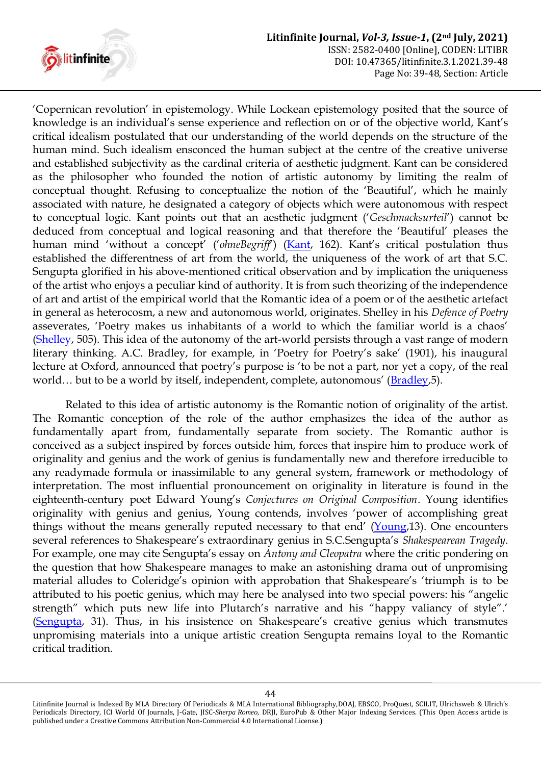

"Copernican revolution" in epistemology. While Lockean epistemology posited that the source of knowledge is an individual"s sense experience and reflection on or of the objective world, Kant"s critical idealism postulated that our understanding of the world depends on the structure of the human mind. Such idealism ensconced the human subject at the centre of the creative universe and established subjectivity as the cardinal criteria of aesthetic judgment. Kant can be considered as the philosopher who founded the notion of artistic autonomy by limiting the realm of conceptual thought. Refusing to conceptualize the notion of the "Beautiful", which he mainly associated with nature, he designated a category of objects which were autonomous with respect to conceptual logic. Kant points out that an aesthetic judgment ("*Geschmacksurteil*") cannot be deduced from conceptual and logical reasoning and that therefore the "Beautiful" pleases the human mind 'without a concept' ('ohneBegriff') ([Kant](#page-8-3), 162). Kant's critical postulation thus established the differentness of art from the world, the uniqueness of the work of art that S.C. Sengupta glorified in his above-mentioned critical observation and by implication the uniqueness of the artist who enjoys a peculiar kind of authority. It is from such theorizing of the independence of art and artist of the empirical world that the Romantic idea of a poem or of the aesthetic artefact in general as heterocosm, a new and autonomous world, originates. Shelley in his *Defence of Poetry*  asseverates, 'Poetry makes us inhabitants of a world to which the familiar world is a chaos' [\(Shelley,](#page-8-2) 505). This idea of the autonomy of the art-world persists through a vast range of modern literary thinking. A.C. Bradley, for example, in 'Poetry for Poetry's sake' (1901), his inaugural lecture at Oxford, announced that poetry's purpose is 'to be not a part, nor yet a copy, of the real world... but to be a world by itself, independent, complete, autonomous' ([Bradley,](#page-8-4)5).

Related to this idea of artistic autonomy is the Romantic notion of originality of the artist. The Romantic conception of the role of the author emphasizes the idea of the author as fundamentally apart from, fundamentally separate from society. The Romantic author is conceived as a subject inspired by forces outside him, forces that inspire him to produce work of originality and genius and the work of genius is fundamentally new and therefore irreducible to any readymade formula or inassimilable to any general system, framework or methodology of interpretation. The most influential pronouncement on originality in literature is found in the eighteenth-century poet Edward Young"s *Conjectures on Original Composition*. Young identifies originality with genius and genius, Young contends, involves "power of accomplishing great things without the means generally reputed necessary to that end'  $(Young, 13)$  $(Young, 13)$  $(Young, 13)$ . One encounters several references to Shakespeare"s extraordinary genius in S.C.Sengupta"s *Shakespearean Tragedy*. For example, one may cite Sengupta"s essay on *Antony and Cleopatra* where the critic pondering on the question that how Shakespeare manages to make an astonishing drama out of unpromising material alludes to Coleridge's opinion with approbation that Shakespeare's 'triumph is to be attributed to his poetic genius, which may here be analysed into two special powers: his "angelic strength" which puts new life into Plutarch's narrative and his "happy valiancy of style".' [\(Sengupta](#page-9-3), 31). Thus, in his insistence on Shakespeare's creative genius which transmutes unpromising materials into a unique artistic creation Sengupta remains loyal to the Romantic critical tradition.

Litinfinite Journal is Indexed By MLA Directory Of Periodicals & MLA International Bibliography,DOAJ, EBSCO, ProQuest, SCILIT, Ulrichsweb & Ulrich's Periodicals Directory, ICI World Of Journals, J-Gate, JISC-*Sherpa Romeo*, DRJI, EuroPub & Other Major Indexing Services. (This Open Access article is published under a Creative Commons Attribution Non-Commercial 4.0 International License.)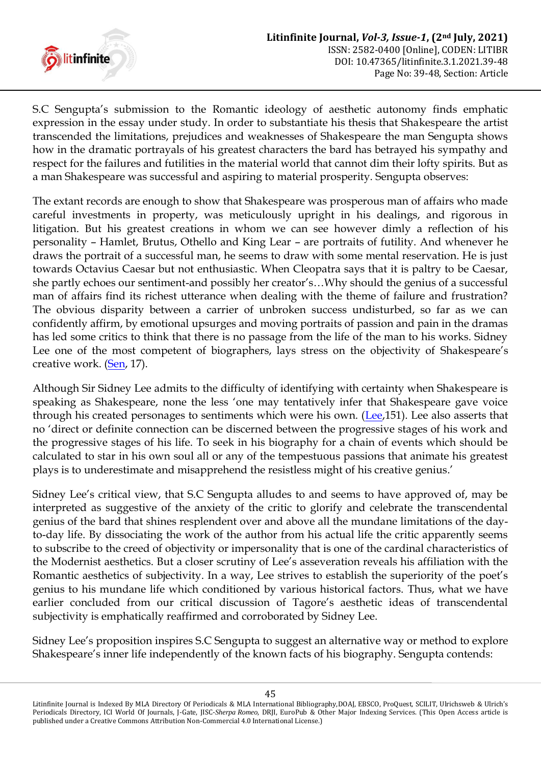

S.C Sengupta's submission to the Romantic ideology of aesthetic autonomy finds emphatic expression in the essay under study. In order to substantiate his thesis that Shakespeare the artist transcended the limitations, prejudices and weaknesses of Shakespeare the man Sengupta shows how in the dramatic portrayals of his greatest characters the bard has betrayed his sympathy and respect for the failures and futilities in the material world that cannot dim their lofty spirits. But as a man Shakespeare was successful and aspiring to material prosperity. Sengupta observes:

The extant records are enough to show that Shakespeare was prosperous man of affairs who made careful investments in property, was meticulously upright in his dealings, and rigorous in litigation. But his greatest creations in whom we can see however dimly a reflection of his personality – Hamlet, Brutus, Othello and King Lear – are portraits of futility. And whenever he draws the portrait of a successful man, he seems to draw with some mental reservation. He is just towards Octavius Caesar but not enthusiastic. When Cleopatra says that it is paltry to be Caesar, she partly echoes our sentiment-and possibly her creator's...Why should the genius of a successful man of affairs find its richest utterance when dealing with the theme of failure and frustration? The obvious disparity between a carrier of unbroken success undisturbed, so far as we can confidently affirm, by emotional upsurges and moving portraits of passion and pain in the dramas has led some critics to think that there is no passage from the life of the man to his works. Sidney Lee one of the most competent of biographers, lays stress on the objectivity of Shakespeare's creative work. [\(Sen,](#page-9-2) 17).

Although Sir Sidney Lee admits to the difficulty of identifying with certainty when Shakespeare is speaking as Shakespeare, none the less "one may tentatively infer that Shakespeare gave voice through his created personages to sentiments which were his own. [\(Lee,](#page-8-5)151). Lee also asserts that no "direct or definite connection can be discerned between the progressive stages of his work and the progressive stages of his life. To seek in his biography for a chain of events which should be calculated to star in his own soul all or any of the tempestuous passions that animate his greatest plays is to underestimate and misapprehend the resistless might of his creative genius."

Sidney Lee's critical view, that S.C Sengupta alludes to and seems to have approved of, may be interpreted as suggestive of the anxiety of the critic to glorify and celebrate the transcendental genius of the bard that shines resplendent over and above all the mundane limitations of the dayto-day life. By dissociating the work of the author from his actual life the critic apparently seems to subscribe to the creed of objectivity or impersonality that is one of the cardinal characteristics of the Modernist aesthetics. But a closer scrutiny of Lee"s asseveration reveals his affiliation with the Romantic aesthetics of subjectivity. In a way, Lee strives to establish the superiority of the poet"s genius to his mundane life which conditioned by various historical factors. Thus, what we have earlier concluded from our critical discussion of Tagore's aesthetic ideas of transcendental subjectivity is emphatically reaffirmed and corroborated by Sidney Lee.

Sidney Lee's proposition inspires S.C Sengupta to suggest an alternative way or method to explore Shakespeare's inner life independently of the known facts of his biography. Sengupta contends:

Litinfinite Journal is Indexed By MLA Directory Of Periodicals & MLA International Bibliography,DOAJ, EBSCO, ProQuest, SCILIT, Ulrichsweb & Ulrich's Periodicals Directory, ICI World Of Journals, J-Gate, JISC-*Sherpa Romeo*, DRJI, EuroPub & Other Major Indexing Services. (This Open Access article is published under a Creative Commons Attribution Non-Commercial 4.0 International License.)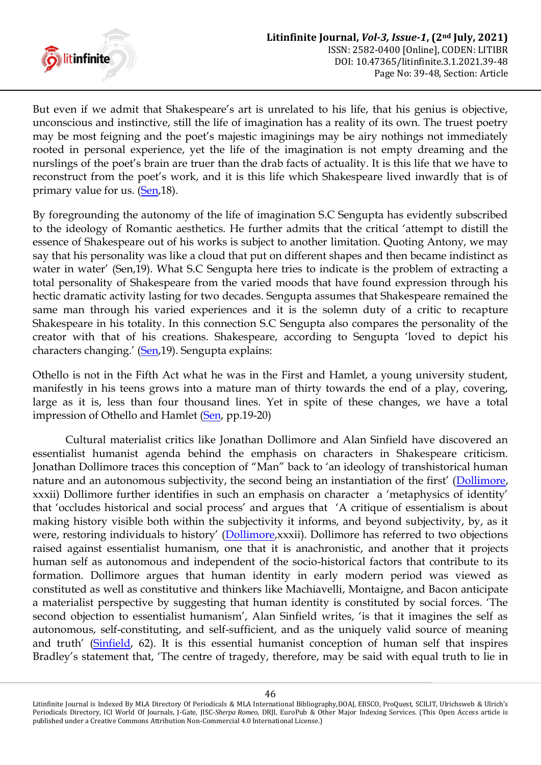

But even if we admit that Shakespeare's art is unrelated to his life, that his genius is objective, unconscious and instinctive, still the life of imagination has a reality of its own. The truest poetry may be most feigning and the poet's majestic imaginings may be airy nothings not immediately rooted in personal experience, yet the life of the imagination is not empty dreaming and the nurslings of the poet's brain are truer than the drab facts of actuality. It is this life that we have to reconstruct from the poet's work, and it is this life which Shakespeare lived inwardly that is of primary value for us. [\(Sen,](#page-9-2)18).

By foregrounding the autonomy of the life of imagination S.C Sengupta has evidently subscribed to the ideology of Romantic aesthetics. He further admits that the critical "attempt to distill the essence of Shakespeare out of his works is subject to another limitation. Quoting Antony, we may say that his personality was like a cloud that put on different shapes and then became indistinct as water in water' (Sen,19). What S.C Sengupta here tries to indicate is the problem of extracting a total personality of Shakespeare from the varied moods that have found expression through his hectic dramatic activity lasting for two decades. Sengupta assumes that Shakespeare remained the same man through his varied experiences and it is the solemn duty of a critic to recapture Shakespeare in his totality. In this connection S.C Sengupta also compares the personality of the creator with that of his creations. Shakespeare, according to Sengupta "loved to depict his characters changing.' ([Sen,](#page-9-2) 19). Sengupta explains:

Othello is not in the Fifth Act what he was in the First and Hamlet, a young university student, manifestly in his teens grows into a mature man of thirty towards the end of a play, covering, large as it is, less than four thousand lines. Yet in spite of these changes, we have a total impression of Othello and Hamlet [\(Sen,](#page-9-2) pp.19-20)

Cultural materialist critics like Jonathan Dollimore and Alan Sinfield have discovered an essentialist humanist agenda behind the emphasis on characters in Shakespeare criticism. Jonathan Dollimore traces this conception of "Man" back to "an ideology of transhistorical human nature and an autonomous subjectivity, the second being an instantiation of the first' ([Dollimore,](#page-8-6) xxxii) Dollimore further identifies in such an emphasis on character a "metaphysics of identity" that 'occludes historical and social process' and argues that 'A critique of essentialism is about making history visible both within the subjectivity it informs, and beyond subjectivity, by, as it were, restoring individuals to history' ([Dollimore,](#page-8-6) xxxii). Dollimore has referred to two objections raised against essentialist humanism, one that it is anachronistic, and another that it projects human self as autonomous and independent of the socio-historical factors that contribute to its formation. Dollimore argues that human identity in early modern period was viewed as constituted as well as constitutive and thinkers like Machiavelli, Montaigne, and Bacon anticipate a materialist perspective by suggesting that human identity is constituted by social forces. "The second objection to essentialist humanism', Alan Sinfield writes, 'is that it imagines the self as autonomous, self-constituting, and self-sufficient, and as the uniquely valid source of meaning and truth' ([Sinfield,](#page-9-6) 62). It is this essential humanist conception of human self that inspires Bradley's statement that, 'The centre of tragedy, therefore, may be said with equal truth to lie in

Litinfinite Journal is Indexed By MLA Directory Of Periodicals & MLA International Bibliography,DOAJ, EBSCO, ProQuest, SCILIT, Ulrichsweb & Ulrich's Periodicals Directory, ICI World Of Journals, J-Gate, JISC-*Sherpa Romeo*, DRJI, EuroPub & Other Major Indexing Services. (This Open Access article is published under a Creative Commons Attribution Non-Commercial 4.0 International License.)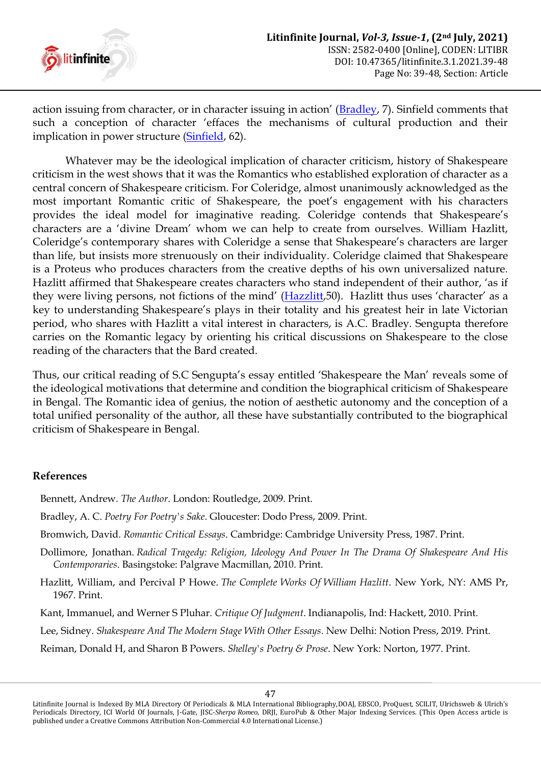

action issuing from character, or in character issuing in action' ([Bradley,](#page-8-4) 7). Sinfield comments that such a conception of character "effaces the mechanisms of cultural production and their implication in power structure [\(Sinfield,](#page-9-6) 62).

Whatever may be the ideological implication of character criticism, history of Shakespeare criticism in the west shows that it was the Romantics who established exploration of character as a central concern of Shakespeare criticism. For Coleridge, almost unanimously acknowledged as the most important Romantic critic of Shakespeare, the poet's engagement with his characters provides the ideal model for imaginative reading. Coleridge contends that Shakespeare"s characters are a "divine Dream" whom we can help to create from ourselves. William Hazlitt, Coleridge's contemporary shares with Coleridge a sense that Shakespeare's characters are larger than life, but insists more strenuously on their individuality. Coleridge claimed that Shakespeare is a Proteus who produces characters from the creative depths of his own universalized nature. Hazlitt affirmed that Shakespeare creates characters who stand independent of their author, "as if they were living persons, not fictions of the mind' ([Hazzlitt](#page-8-7),50). Hazlitt thus uses 'character' as a key to understanding Shakespeare's plays in their totality and his greatest heir in late Victorian period, who shares with Hazlitt a vital interest in characters, is A.C. Bradley. Sengupta therefore carries on the Romantic legacy by orienting his critical discussions on Shakespeare to the close reading of the characters that the Bard created.

Thus, our critical reading of S.C Sengupta"s essay entitled "Shakespeare the Man" reveals some of the ideological motivations that determine and condition the biographical criticism of Shakespeare in Bengal. The Romantic idea of genius, the notion of aesthetic autonomy and the conception of a total unified personality of the author, all these have substantially contributed to the biographical criticism of Shakespeare in Bengal.

## **References**

- <span id="page-8-0"></span>Bennett, Andrew. *The Author*. London: Routledge, 2009. Print.
- <span id="page-8-4"></span>Bradley, A. C. *Poetry For Poetry's Sake*. Gloucester: Dodo Press, 2009. Print.
- <span id="page-8-1"></span>Bromwich, David. *Romantic Critical Essays*. Cambridge: Cambridge University Press, 1987. Print.
- <span id="page-8-6"></span>Dollimore, Jonathan. *Radical Tragedy: Religion, Ideology And Power In The Drama Of Shakespeare And His Contemporaries*. Basingstoke: Palgrave Macmillan, 2010. Print.
- <span id="page-8-7"></span>Hazlitt, William, and Percival P Howe. *The Complete Works Of William Hazlitt*. New York, NY: AMS Pr, 1967. Print.
- <span id="page-8-3"></span>Kant, Immanuel, and Werner S Pluhar. *Critique Of Judgment*. Indianapolis, Ind: Hackett, 2010. Print.
- <span id="page-8-5"></span>Lee, Sidney. *Shakespeare And The Modern Stage With Other Essays*. New Delhi: Notion Press, 2019. Print.
- <span id="page-8-2"></span>Reiman, Donald H, and Sharon B Powers. *Shelley's Poetry & Prose*. New York: Norton, 1977. Print.

Litinfinite Journal is Indexed By MLA Directory Of Periodicals & MLA International Bibliography,DOAJ, EBSCO, ProQuest, SCILIT, Ulrichsweb & Ulrich's Periodicals Directory, ICI World Of Journals, J-Gate, JISC-*Sherpa Romeo*, DRJI, EuroPub & Other Major Indexing Services. (This Open Access article is published under a Creative Commons Attribution Non-Commercial 4.0 International License.)